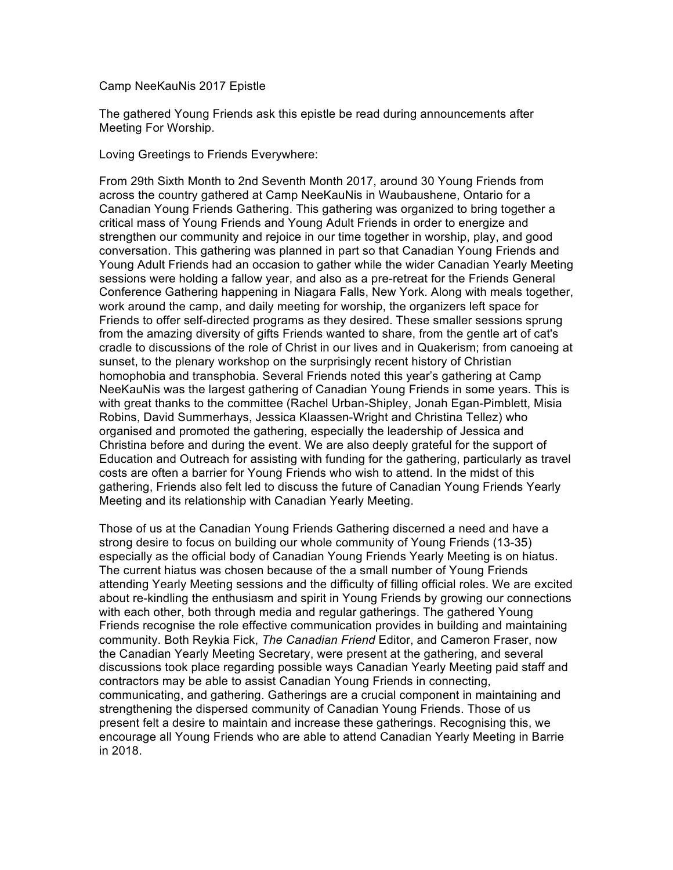## Camp NeeKauNis 2017 Epistle

The gathered Young Friends ask this epistle be read during announcements after Meeting For Worship.

Loving Greetings to Friends Everywhere:

From 29th Sixth Month to 2nd Seventh Month 2017, around 30 Young Friends from across the country gathered at Camp NeeKauNis in Waubaushene, Ontario for a Canadian Young Friends Gathering. This gathering was organized to bring together a critical mass of Young Friends and Young Adult Friends in order to energize and strengthen our community and rejoice in our time together in worship, play, and good conversation. This gathering was planned in part so that Canadian Young Friends and Young Adult Friends had an occasion to gather while the wider Canadian Yearly Meeting sessions were holding a fallow year, and also as a pre-retreat for the Friends General Conference Gathering happening in Niagara Falls, New York. Along with meals together, work around the camp, and daily meeting for worship, the organizers left space for Friends to offer self-directed programs as they desired. These smaller sessions sprung from the amazing diversity of gifts Friends wanted to share, from the gentle art of cat's cradle to discussions of the role of Christ in our lives and in Quakerism; from canoeing at sunset, to the plenary workshop on the surprisingly recent history of Christian homophobia and transphobia. Several Friends noted this year's gathering at Camp NeeKauNis was the largest gathering of Canadian Young Friends in some years. This is with great thanks to the committee (Rachel Urban-Shipley, Jonah Egan-Pimblett, Misia Robins, David Summerhays, Jessica Klaassen-Wright and Christina Tellez) who organised and promoted the gathering, especially the leadership of Jessica and Christina before and during the event. We are also deeply grateful for the support of Education and Outreach for assisting with funding for the gathering, particularly as travel costs are often a barrier for Young Friends who wish to attend. In the midst of this gathering, Friends also felt led to discuss the future of Canadian Young Friends Yearly Meeting and its relationship with Canadian Yearly Meeting.

Those of us at the Canadian Young Friends Gathering discerned a need and have a strong desire to focus on building our whole community of Young Friends (13-35) especially as the official body of Canadian Young Friends Yearly Meeting is on hiatus. The current hiatus was chosen because of the a small number of Young Friends attending Yearly Meeting sessions and the difficulty of filling official roles. We are excited about re-kindling the enthusiasm and spirit in Young Friends by growing our connections with each other, both through media and regular gatherings. The gathered Young Friends recognise the role effective communication provides in building and maintaining community. Both Reykia Fick, *The Canadian Friend* Editor, and Cameron Fraser, now the Canadian Yearly Meeting Secretary, were present at the gathering, and several discussions took place regarding possible ways Canadian Yearly Meeting paid staff and contractors may be able to assist Canadian Young Friends in connecting, communicating, and gathering. Gatherings are a crucial component in maintaining and strengthening the dispersed community of Canadian Young Friends. Those of us present felt a desire to maintain and increase these gatherings. Recognising this, we encourage all Young Friends who are able to attend Canadian Yearly Meeting in Barrie in 2018.